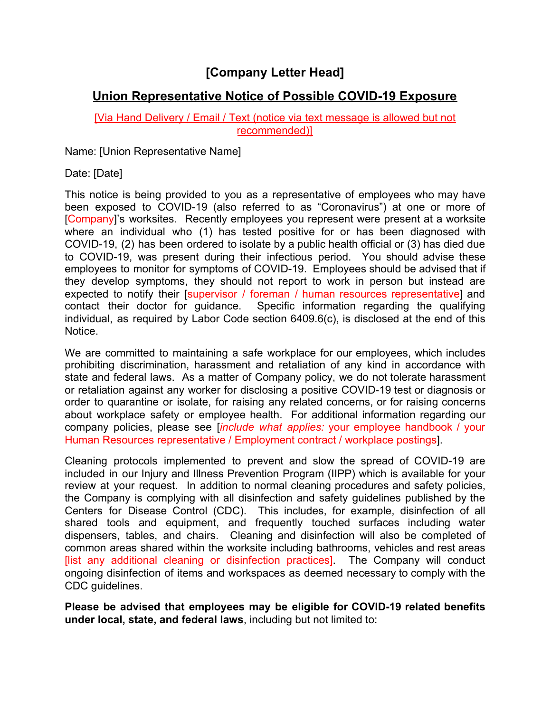## **[Company Letter Head]**

## **Union Representative Notice of Possible COVID-19 Exposure**

## [Via Hand Delivery / Email / Text (notice via text message is allowed but not recommended)]

Name: [Union Representative Name]

Date: [Date]

This notice is being provided to you as a representative of employees who may have been exposed to COVID-19 (also referred to as "Coronavirus") at one or more of [Company]'s worksites. Recently employees you represent were present at a worksite where an individual who (1) has tested positive for or has been diagnosed with COVID-19, (2) has been ordered to isolate by a public health official or (3) has died due to COVID-19, was present during their infectious period. You should advise these employees to monitor for symptoms of COVID-19. Employees should be advised that if they develop symptoms, they should not report to work in person but instead are expected to notify their [supervisor / foreman / human resources representative] and contact their doctor for guidance. Specific information regarding the qualifying individual, as required by Labor Code section 6409.6(c), is disclosed at the end of this Notice.

We are committed to maintaining a safe workplace for our employees, which includes prohibiting discrimination, harassment and retaliation of any kind in accordance with state and federal laws. As a matter of Company policy, we do not tolerate harassment or retaliation against any worker for disclosing a positive COVID-19 test or diagnosis or order to quarantine or isolate, for raising any related concerns, or for raising concerns about workplace safety or employee health. For additional information regarding our company policies, please see [*include what applies:* your employee handbook / your Human Resources representative / Employment contract / workplace postings].

Cleaning protocols implemented to prevent and slow the spread of COVID-19 are included in our Injury and Illness Prevention Program (IIPP) which is available for your review at your request. In addition to normal cleaning procedures and safety policies, the Company is complying with all disinfection and safety guidelines published by the Centers for Disease Control (CDC). This includes, for example, disinfection of all shared tools and equipment, and frequently touched surfaces including water dispensers, tables, and chairs. Cleaning and disinfection will also be completed of common areas shared within the worksite including bathrooms, vehicles and rest areas [list any additional cleaning or disinfection practices]. The Company will conduct ongoing disinfection of items and workspaces as deemed necessary to comply with the CDC guidelines.

**Please be advised that employees may be eligible for COVID-19 related benefits under local, state, and federal laws**, including but not limited to: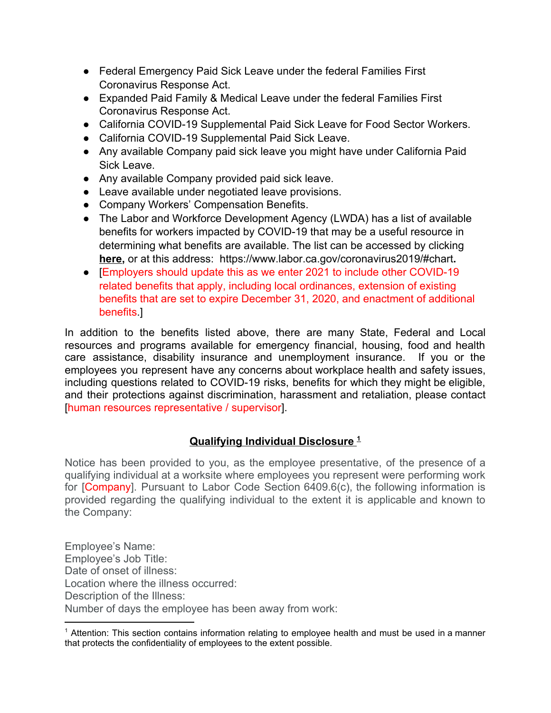- Federal Emergency Paid Sick Leave under the federal Families First Coronavirus Response Act.
- Expanded Paid Family & Medical Leave under the federal Families First Coronavirus Response Act.
- California COVID-19 Supplemental Paid Sick Leave for Food Sector Workers.
- California COVID-19 Supplemental Paid Sick Leave.
- Any available Company paid sick leave you might have under California Paid Sick Leave.
- Any available Company provided paid sick leave.
- Leave available under negotiated leave provisions.
- Company Workers' Compensation Benefits.
- The Labor and Workforce Development Agency (LWDA) has a list of available benefits for workers impacted by COVID-19 that may be a useful resource in determining what benefits are available. The list can be accessed by clicking **[here,](https://www.labor.ca.gov/coronavirus2019/#chart)** or at this address: https://www.labor.ca.gov/coronavirus2019/#chart**.**
- [Employers should update this as we enter 2021 to include other COVID-19 related benefits that apply, including local ordinances, extension of existing benefits that are set to expire December 31, 2020, and enactment of additional benefits.]

In addition to the benefits listed above, there are many State, Federal and Local resources and programs available for emergency financial, housing, food and health care assistance, disability insurance and unemployment insurance. If you or the employees you represent have any concerns about workplace health and safety issues, including questions related to COVID-19 risks, benefits for which they might be eligible, and their protections against discrimination, harassment and retaliation, please contact [human resources representative / supervisor].

## **Qualifying Individual Disclosure <sup>1</sup>**

Notice has been provided to you, as the employee presentative, of the presence of a qualifying individual at a worksite where employees you represent were performing work for [Company]. Pursuant to Labor Code Section 6409.6(c), the following information is provided regarding the qualifying individual to the extent it is applicable and known to the Company:

Employee's Name: Employee's Job Title: Date of onset of illness: Location where the illness occurred: Description of the Illness: Number of days the employee has been away from work:

 $<sup>1</sup>$  Attention: This section contains information relating to employee health and must be used in a manner</sup> that protects the confidentiality of employees to the extent possible.